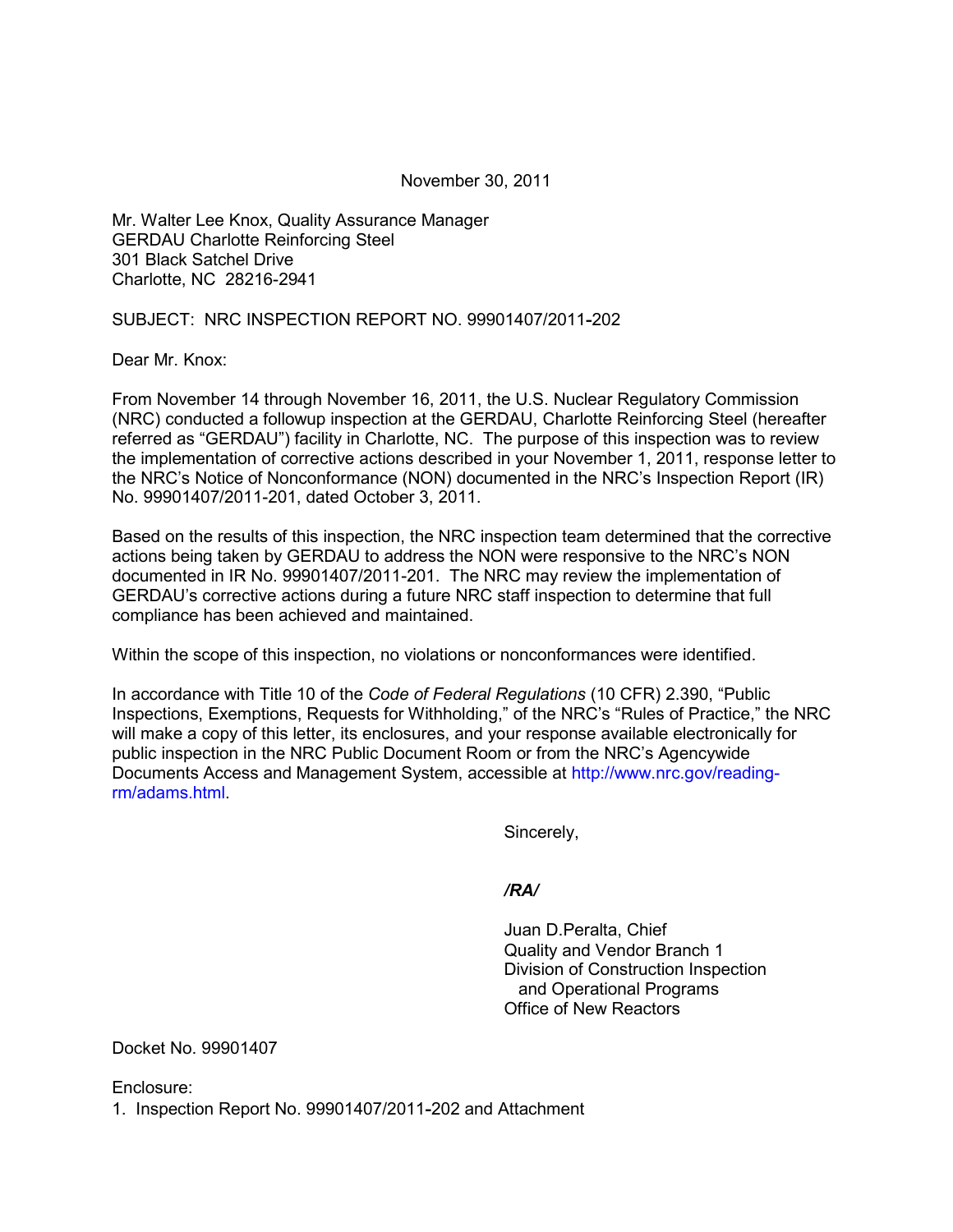November 30, 2011

Mr. Walter Lee Knox, Quality Assurance Manager GERDAU Charlotte Reinforcing Steel 301 Black Satchel Drive Charlotte, NC 28216-2941

SUBJECT: NRC INSPECTION REPORT NO. 99901407/2011**-**202

Dear Mr. Knox:

From November 14 through November 16, 2011, the U.S. Nuclear Regulatory Commission (NRC) conducted a followup inspection at the GERDAU, Charlotte Reinforcing Steel (hereafter referred as "GERDAU") facility in Charlotte, NC. The purpose of this inspection was to review the implementation of corrective actions described in your November 1, 2011, response letter to the NRC's Notice of Nonconformance (NON) documented in the NRC's Inspection Report (IR) No. 99901407/2011-201, dated October 3, 2011.

Based on the results of this inspection, the NRC inspection team determined that the corrective actions being taken by GERDAU to address the NON were responsive to the NRC's NON documented in IR No. 99901407/2011-201. The NRC may review the implementation of GERDAU's corrective actions during a future NRC staff inspection to determine that full compliance has been achieved and maintained.

Within the scope of this inspection, no violations or nonconformances were identified.

In accordance with Title 10 of the *Code of Federal Regulations* (10 CFR) 2.390, "Public Inspections, Exemptions, Requests for Withholding," of the NRC's "Rules of Practice," the NRC will make a copy of this letter, its enclosures, and your response available electronically for public inspection in the NRC Public Document Room or from the NRC's Agencywide Documents Access and Management System, accessible at http://www.nrc.gov/readingrm/adams.html.

Sincerely,

## */RA/*

 Juan D.Peralta, Chief Quality and Vendor Branch 1 Division of Construction Inspection and Operational Programs Office of New Reactors

Docket No. 99901407

Enclosure: 1. Inspection Report No. 99901407/2011**-**202 and Attachment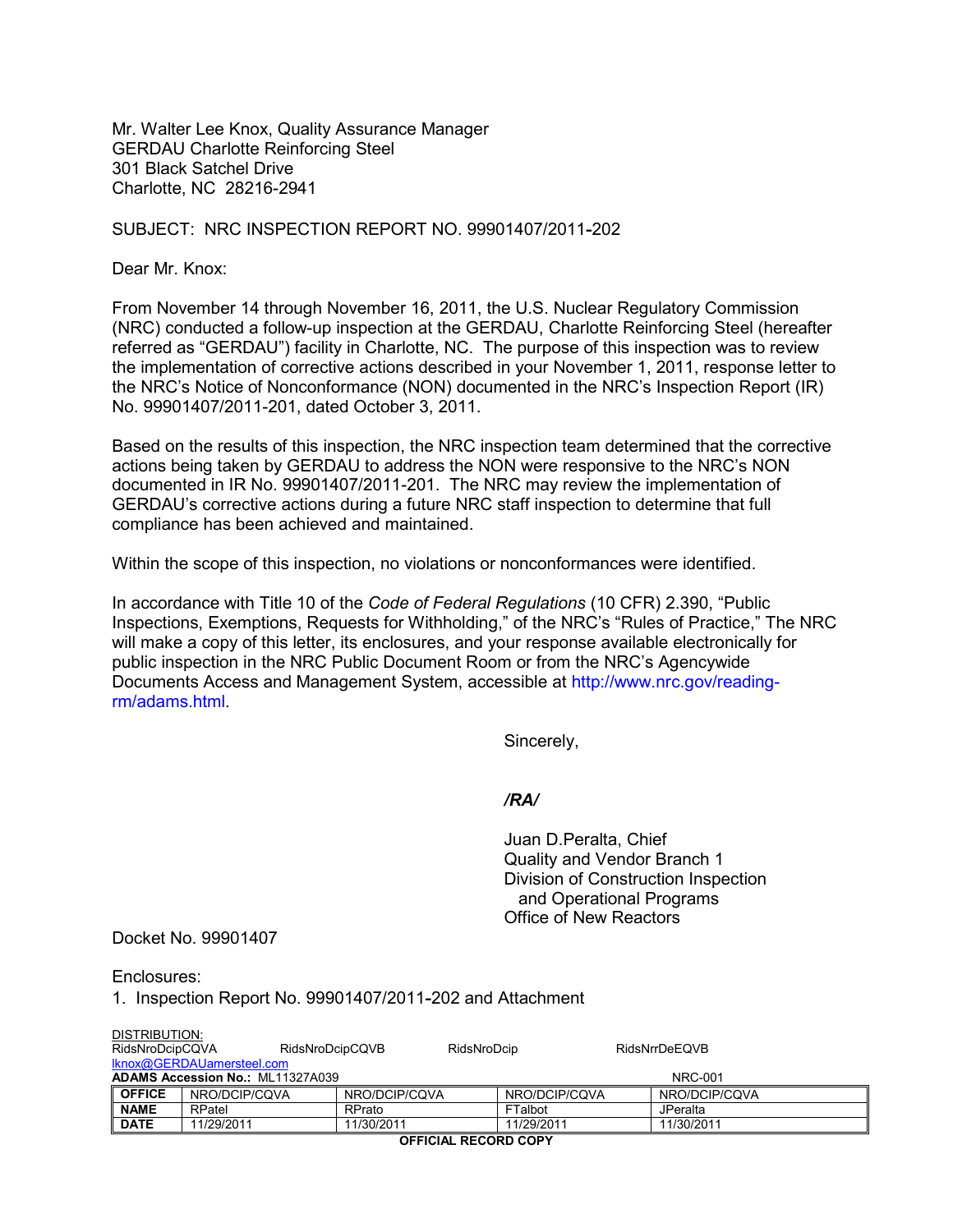Mr. Walter Lee Knox, Quality Assurance Manager GERDAU Charlotte Reinforcing Steel 301 Black Satchel Drive Charlotte, NC 28216-2941

#### SUBJECT: NRC INSPECTION REPORT NO. 99901407/2011**-**202

Dear Mr. Knox:

From November 14 through November 16, 2011, the U.S. Nuclear Regulatory Commission (NRC) conducted a follow-up inspection at the GERDAU, Charlotte Reinforcing Steel (hereafter referred as "GERDAU") facility in Charlotte, NC. The purpose of this inspection was to review the implementation of corrective actions described in your November 1, 2011, response letter to the NRC's Notice of Nonconformance (NON) documented in the NRC's Inspection Report (IR) No. 99901407/2011-201, dated October 3, 2011.

Based on the results of this inspection, the NRC inspection team determined that the corrective actions being taken by GERDAU to address the NON were responsive to the NRC's NON documented in IR No. 99901407/2011-201. The NRC may review the implementation of GERDAU's corrective actions during a future NRC staff inspection to determine that full compliance has been achieved and maintained.

Within the scope of this inspection, no violations or nonconformances were identified.

In accordance with Title 10 of the *Code of Federal Regulations* (10 CFR) 2.390, "Public Inspections, Exemptions, Requests for Withholding," of the NRC's "Rules of Practice," The NRC will make a copy of this letter, its enclosures, and your response available electronically for public inspection in the NRC Public Document Room or from the NRC's Agencywide Documents Access and Management System, accessible at http://www.nrc.gov/readingrm/adams.html.

Sincerely,

#### */RA/*

 Juan D.Peralta, Chief Quality and Vendor Branch 1 Division of Construction Inspection and Operational Programs Office of New Reactors

Docket No. 99901407

Enclosures:

1. Inspection Report No. 99901407/2011**-**202 and Attachment

| DISTRIBUTION:                           |               |                 |             |                |                      |  |  |
|-----------------------------------------|---------------|-----------------|-------------|----------------|----------------------|--|--|
| RidsNroDcipCQVA                         |               | RidsNroDcipCQVB | RidsNroDcip |                | <b>RidsNrrDeEQVB</b> |  |  |
| Iknox@GERDAUamersteel.com               |               |                 |             |                |                      |  |  |
| <b>ADAMS Accession No.: ML11327A039</b> |               |                 |             | <b>NRC-001</b> |                      |  |  |
| <b>OFFICE</b>                           | NRO/DCIP/CQVA | NRO/DCIP/CQVA   |             | NRO/DCIP/CQVA  | NRO/DCIP/CQVA        |  |  |
| <b>NAME</b>                             | RPatel        | RPrato          |             | FTalbot        | JPeralta             |  |  |
| <b>DATE</b>                             | 11/29/2011    | 11/30/2011      |             | 11/29/2011     | 11/30/2011           |  |  |

**OFFICIAL RECORD COPY**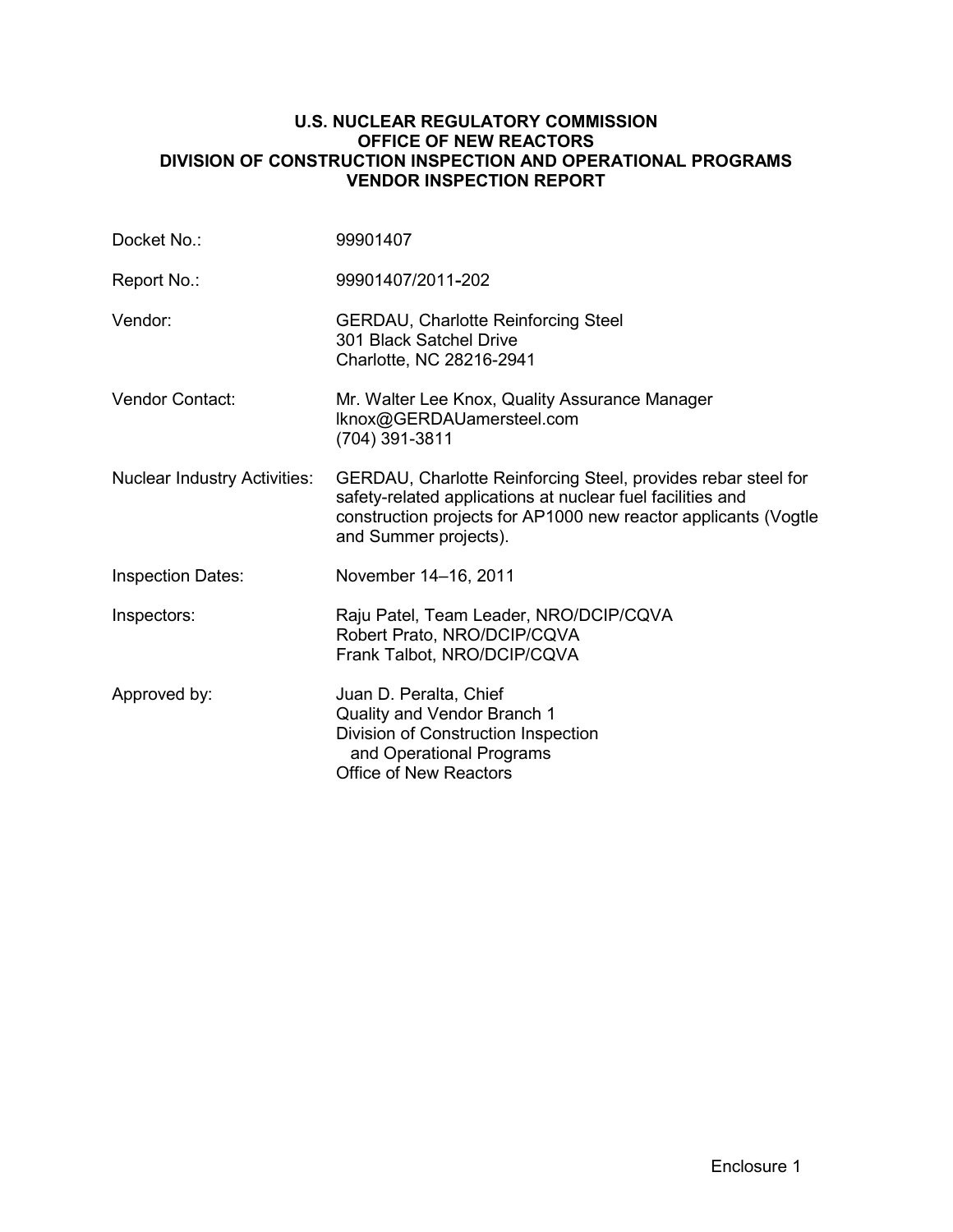### **U.S. NUCLEAR REGULATORY COMMISSION OFFICE OF NEW REACTORS DIVISION OF CONSTRUCTION INSPECTION AND OPERATIONAL PROGRAMS VENDOR INSPECTION REPORT**

| Docket No.:                         | 99901407                                                                                                                                                                                                                |  |
|-------------------------------------|-------------------------------------------------------------------------------------------------------------------------------------------------------------------------------------------------------------------------|--|
| Report No.:                         | 99901407/2011-202                                                                                                                                                                                                       |  |
| Vendor:                             | <b>GERDAU, Charlotte Reinforcing Steel</b><br>301 Black Satchel Drive<br>Charlotte, NC 28216-2941                                                                                                                       |  |
| Vendor Contact:                     | Mr. Walter Lee Knox, Quality Assurance Manager<br>Iknox@GERDAUamersteel.com<br>(704) 391-3811                                                                                                                           |  |
| <b>Nuclear Industry Activities:</b> | GERDAU, Charlotte Reinforcing Steel, provides rebar steel for<br>safety-related applications at nuclear fuel facilities and<br>construction projects for AP1000 new reactor applicants (Vogtle<br>and Summer projects). |  |
| <b>Inspection Dates:</b>            | November 14-16, 2011                                                                                                                                                                                                    |  |
| Inspectors:                         | Raju Patel, Team Leader, NRO/DCIP/CQVA<br>Robert Prato, NRO/DCIP/CQVA<br>Frank Talbot, NRO/DCIP/CQVA                                                                                                                    |  |
| Approved by:                        | Juan D. Peralta, Chief<br>Quality and Vendor Branch 1<br>Division of Construction Inspection<br>and Operational Programs<br><b>Office of New Reactors</b>                                                               |  |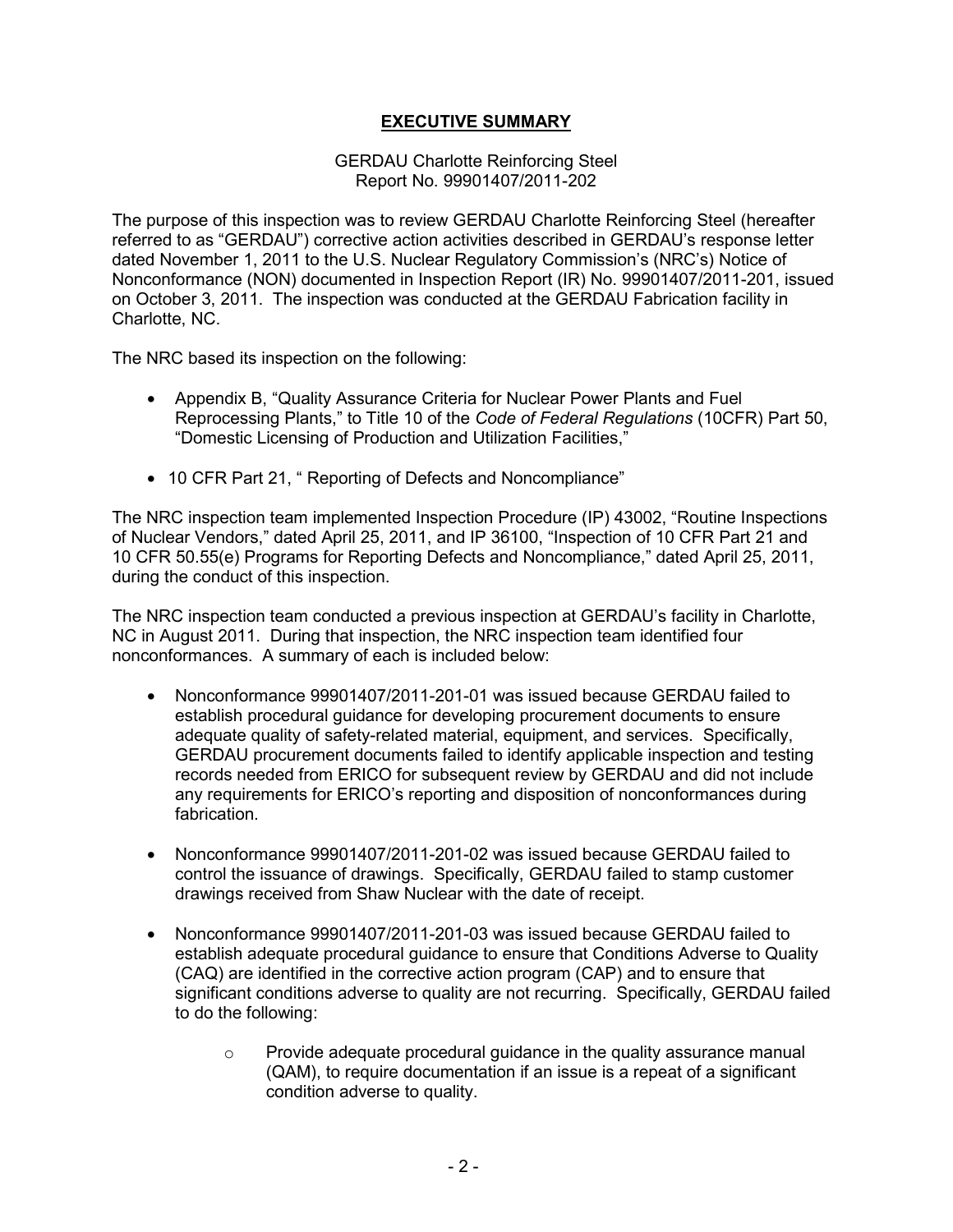# **EXECUTIVE SUMMARY**

### GERDAU Charlotte Reinforcing Steel Report No. 99901407/2011-202

The purpose of this inspection was to review GERDAU Charlotte Reinforcing Steel (hereafter referred to as "GERDAU") corrective action activities described in GERDAU's response letter dated November 1, 2011 to the U.S. Nuclear Regulatory Commission's (NRC's) Notice of Nonconformance (NON) documented in Inspection Report (IR) No. 99901407/2011-201, issued on October 3, 2011. The inspection was conducted at the GERDAU Fabrication facility in Charlotte, NC.

The NRC based its inspection on the following:

- Appendix B, "Quality Assurance Criteria for Nuclear Power Plants and Fuel Reprocessing Plants," to Title 10 of the *Code of Federal Regulations* (10CFR) Part 50, "Domestic Licensing of Production and Utilization Facilities,"
- 10 CFR Part 21, " Reporting of Defects and Noncompliance"

The NRC inspection team implemented Inspection Procedure (IP) 43002, "Routine Inspections of Nuclear Vendors," dated April 25, 2011, and IP 36100, "Inspection of 10 CFR Part 21 and 10 CFR 50.55(e) Programs for Reporting Defects and Noncompliance," dated April 25, 2011, during the conduct of this inspection.

The NRC inspection team conducted a previous inspection at GERDAU's facility in Charlotte, NC in August 2011. During that inspection, the NRC inspection team identified four nonconformances. A summary of each is included below:

- Nonconformance 99901407/2011-201-01 was issued because GERDAU failed to establish procedural guidance for developing procurement documents to ensure adequate quality of safety-related material, equipment, and services. Specifically, GERDAU procurement documents failed to identify applicable inspection and testing records needed from ERICO for subsequent review by GERDAU and did not include any requirements for ERICO's reporting and disposition of nonconformances during fabrication.
- Nonconformance 99901407/2011-201-02 was issued because GERDAU failed to control the issuance of drawings. Specifically, GERDAU failed to stamp customer drawings received from Shaw Nuclear with the date of receipt.
- Nonconformance 99901407/2011-201-03 was issued because GERDAU failed to establish adequate procedural guidance to ensure that Conditions Adverse to Quality (CAQ) are identified in the corrective action program (CAP) and to ensure that significant conditions adverse to quality are not recurring. Specifically, GERDAU failed to do the following:
	- o Provide adequate procedural guidance in the quality assurance manual (QAM), to require documentation if an issue is a repeat of a significant condition adverse to quality.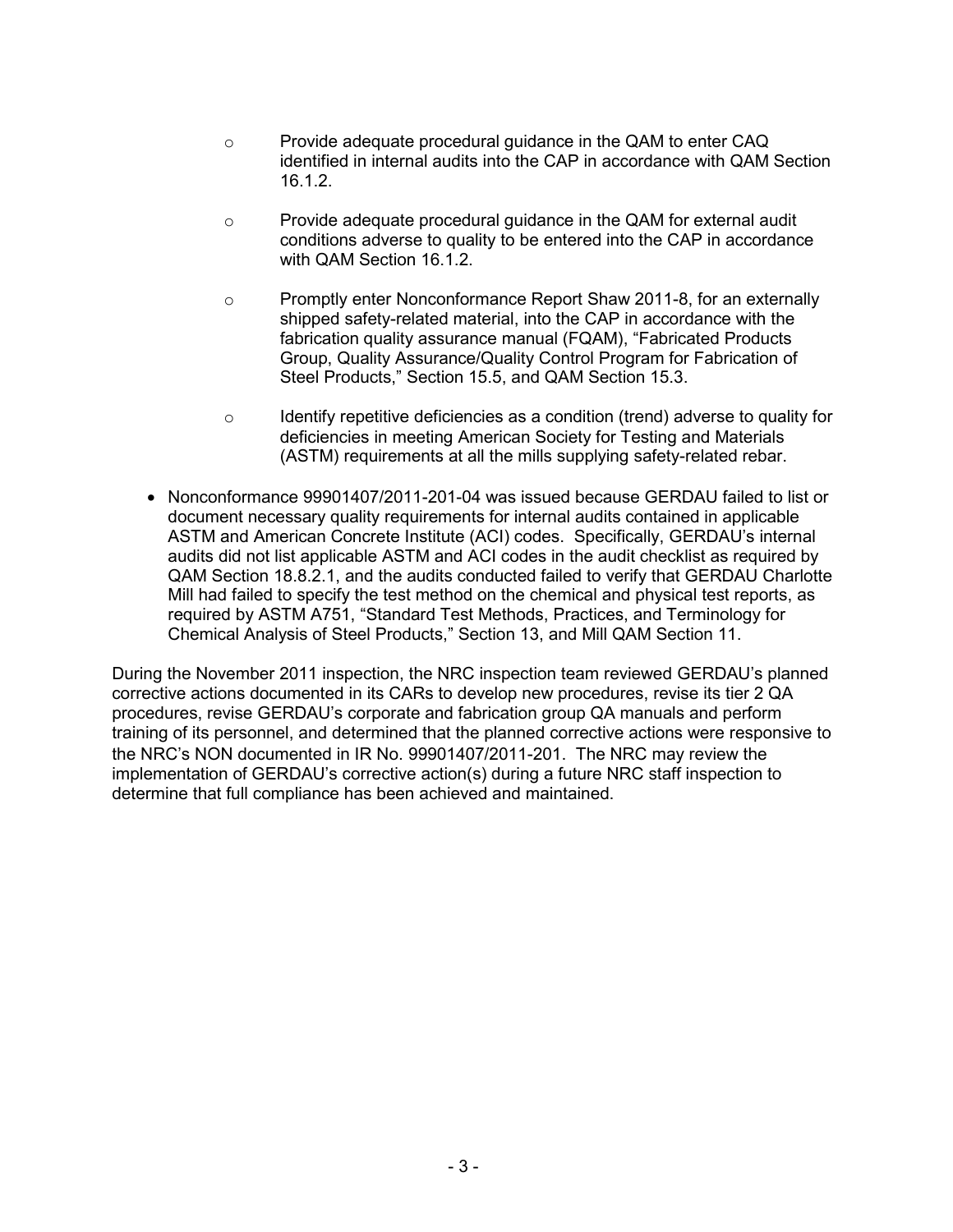- o Provide adequate procedural guidance in the QAM to enter CAQ identified in internal audits into the CAP in accordance with QAM Section 16.1.2.
- $\circ$  Provide adequate procedural guidance in the QAM for external audit conditions adverse to quality to be entered into the CAP in accordance with QAM Section 16.1.2.
- o Promptly enter Nonconformance Report Shaw 2011-8, for an externally shipped safety-related material, into the CAP in accordance with the fabrication quality assurance manual (FQAM), "Fabricated Products Group, Quality Assurance/Quality Control Program for Fabrication of Steel Products," Section 15.5, and QAM Section 15.3.
- $\circ$  Identify repetitive deficiencies as a condition (trend) adverse to quality for deficiencies in meeting American Society for Testing and Materials (ASTM) requirements at all the mills supplying safety-related rebar.
- Nonconformance 99901407/2011-201-04 was issued because GERDAU failed to list or document necessary quality requirements for internal audits contained in applicable ASTM and American Concrete Institute (ACI) codes. Specifically, GERDAU's internal audits did not list applicable ASTM and ACI codes in the audit checklist as required by QAM Section 18.8.2.1, and the audits conducted failed to verify that GERDAU Charlotte Mill had failed to specify the test method on the chemical and physical test reports, as required by ASTM A751, "Standard Test Methods, Practices, and Terminology for Chemical Analysis of Steel Products," Section 13, and Mill QAM Section 11.

During the November 2011 inspection, the NRC inspection team reviewed GERDAU's planned corrective actions documented in its CARs to develop new procedures, revise its tier 2 QA procedures, revise GERDAU's corporate and fabrication group QA manuals and perform training of its personnel, and determined that the planned corrective actions were responsive to the NRC's NON documented in IR No. 99901407/2011-201. The NRC may review the implementation of GERDAU's corrective action(s) during a future NRC staff inspection to determine that full compliance has been achieved and maintained.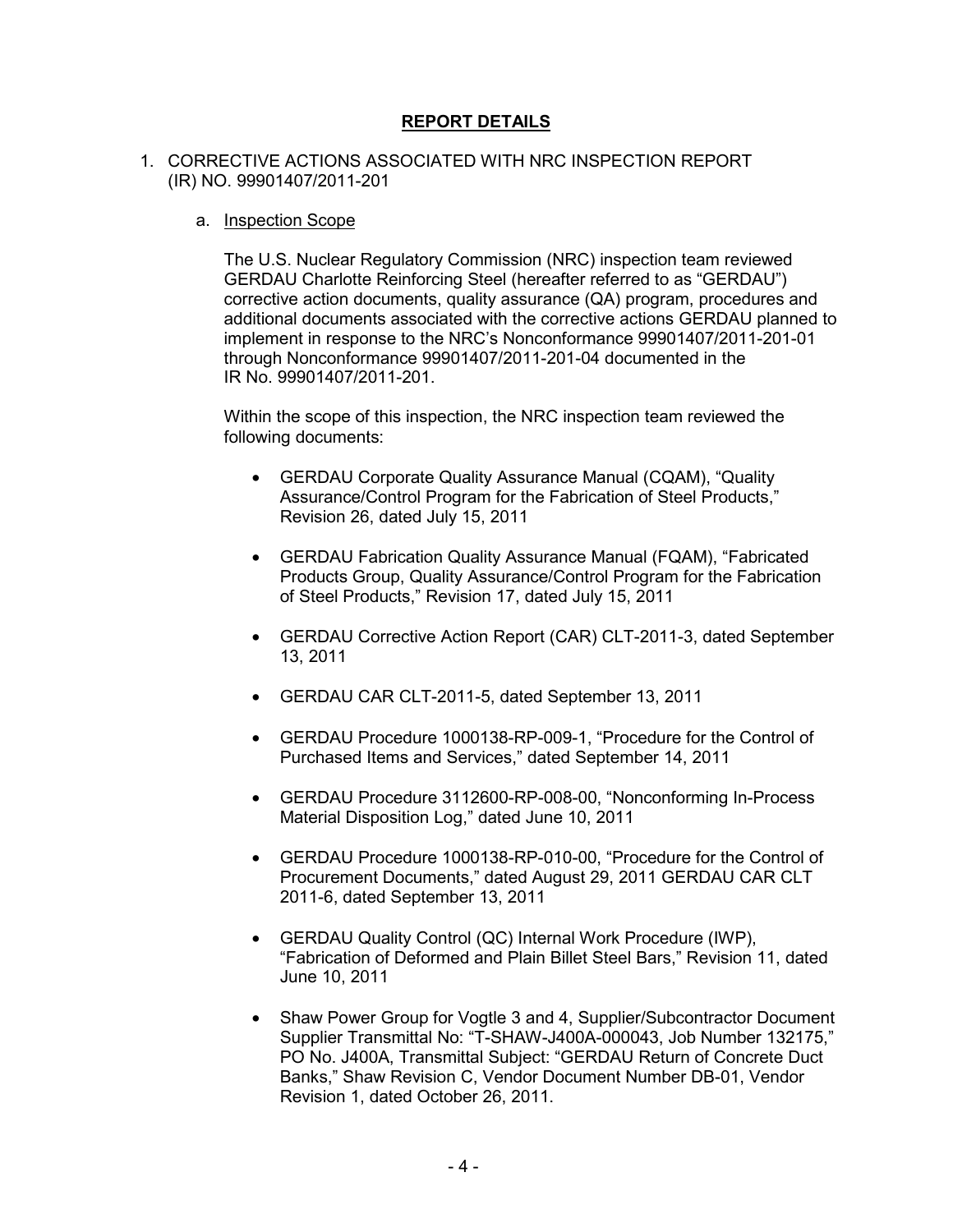# **REPORT DETAILS**

#### 1. CORRECTIVE ACTIONS ASSOCIATED WITH NRC INSPECTION REPORT (IR) NO. 99901407/2011-201

#### a. Inspection Scope

The U.S. Nuclear Regulatory Commission (NRC) inspection team reviewed GERDAU Charlotte Reinforcing Steel (hereafter referred to as "GERDAU") corrective action documents, quality assurance (QA) program, procedures and additional documents associated with the corrective actions GERDAU planned to implement in response to the NRC's Nonconformance 99901407/2011-201-01 through Nonconformance 99901407/2011-201-04 documented in the IR No. 99901407/2011-201.

Within the scope of this inspection, the NRC inspection team reviewed the following documents:

- GERDAU Corporate Quality Assurance Manual (CQAM), "Quality Assurance/Control Program for the Fabrication of Steel Products," Revision 26, dated July 15, 2011
- GERDAU Fabrication Quality Assurance Manual (FQAM), "Fabricated Products Group, Quality Assurance/Control Program for the Fabrication of Steel Products," Revision 17, dated July 15, 2011
- GERDAU Corrective Action Report (CAR) CLT-2011-3, dated September 13, 2011
- GERDAU CAR CLT-2011-5, dated September 13, 2011
- GERDAU Procedure 1000138-RP-009-1, "Procedure for the Control of Purchased Items and Services," dated September 14, 2011
- GERDAU Procedure 3112600-RP-008-00, "Nonconforming In-Process Material Disposition Log," dated June 10, 2011
- GERDAU Procedure 1000138-RP-010-00, "Procedure for the Control of Procurement Documents," dated August 29, 2011 GERDAU CAR CLT 2011-6, dated September 13, 2011
- GERDAU Quality Control (QC) Internal Work Procedure (IWP), "Fabrication of Deformed and Plain Billet Steel Bars," Revision 11, dated June 10, 2011
- Shaw Power Group for Vogtle 3 and 4, Supplier/Subcontractor Document Supplier Transmittal No: "T-SHAW-J400A-000043, Job Number 132175," PO No. J400A, Transmittal Subject: "GERDAU Return of Concrete Duct Banks," Shaw Revision C, Vendor Document Number DB-01, Vendor Revision 1, dated October 26, 2011.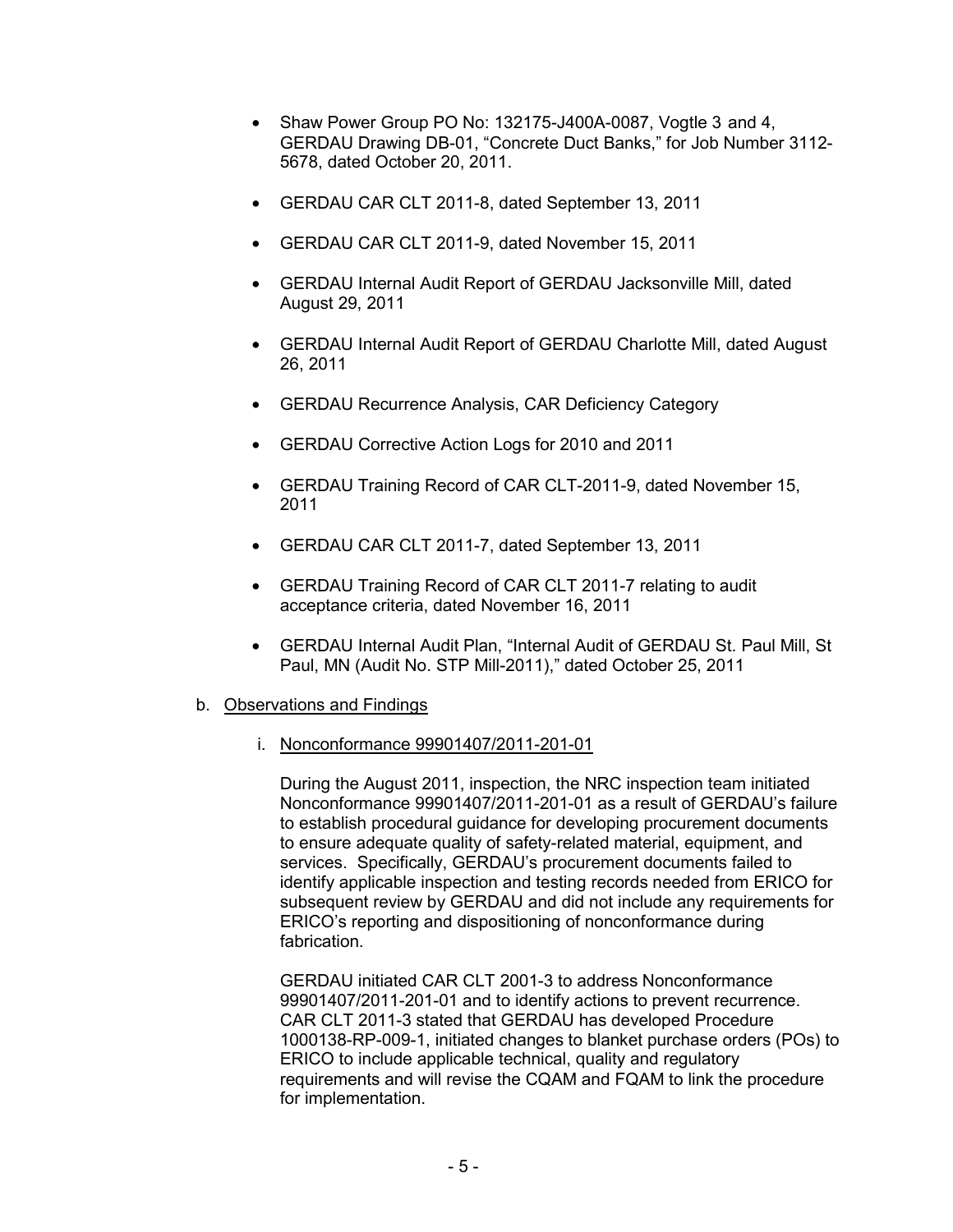- Shaw Power Group PO No: 132175-J400A-0087, Vogtle 3 and 4, GERDAU Drawing DB-01, "Concrete Duct Banks," for Job Number 3112- 5678, dated October 20, 2011.
- GERDAU CAR CLT 2011-8, dated September 13, 2011
- GERDAU CAR CLT 2011-9, dated November 15, 2011
- GERDAU Internal Audit Report of GERDAU Jacksonville Mill, dated August 29, 2011
- GERDAU Internal Audit Report of GERDAU Charlotte Mill, dated August 26, 2011
- GERDAU Recurrence Analysis, CAR Deficiency Category
- GERDAU Corrective Action Logs for 2010 and 2011
- GERDAU Training Record of CAR CLT-2011-9, dated November 15, 2011
- GERDAU CAR CLT 2011-7, dated September 13, 2011
- GERDAU Training Record of CAR CLT 2011-7 relating to audit acceptance criteria, dated November 16, 2011
- GERDAU Internal Audit Plan, "Internal Audit of GERDAU St. Paul Mill, St Paul, MN (Audit No. STP Mill-2011)," dated October 25, 2011
- b. Observations and Findings
	- i. Nonconformance 99901407/2011-201-01

During the August 2011, inspection, the NRC inspection team initiated Nonconformance 99901407/2011-201-01 as a result of GERDAU's failure to establish procedural guidance for developing procurement documents to ensure adequate quality of safety-related material, equipment, and services. Specifically, GERDAU's procurement documents failed to identify applicable inspection and testing records needed from ERICO for subsequent review by GERDAU and did not include any requirements for ERICO's reporting and dispositioning of nonconformance during fabrication.

GERDAU initiated CAR CLT 2001-3 to address Nonconformance 99901407/2011-201-01 and to identify actions to prevent recurrence. CAR CLT 2011-3 stated that GERDAU has developed Procedure 1000138-RP-009-1, initiated changes to blanket purchase orders (POs) to ERICO to include applicable technical, quality and regulatory requirements and will revise the CQAM and FQAM to link the procedure for implementation.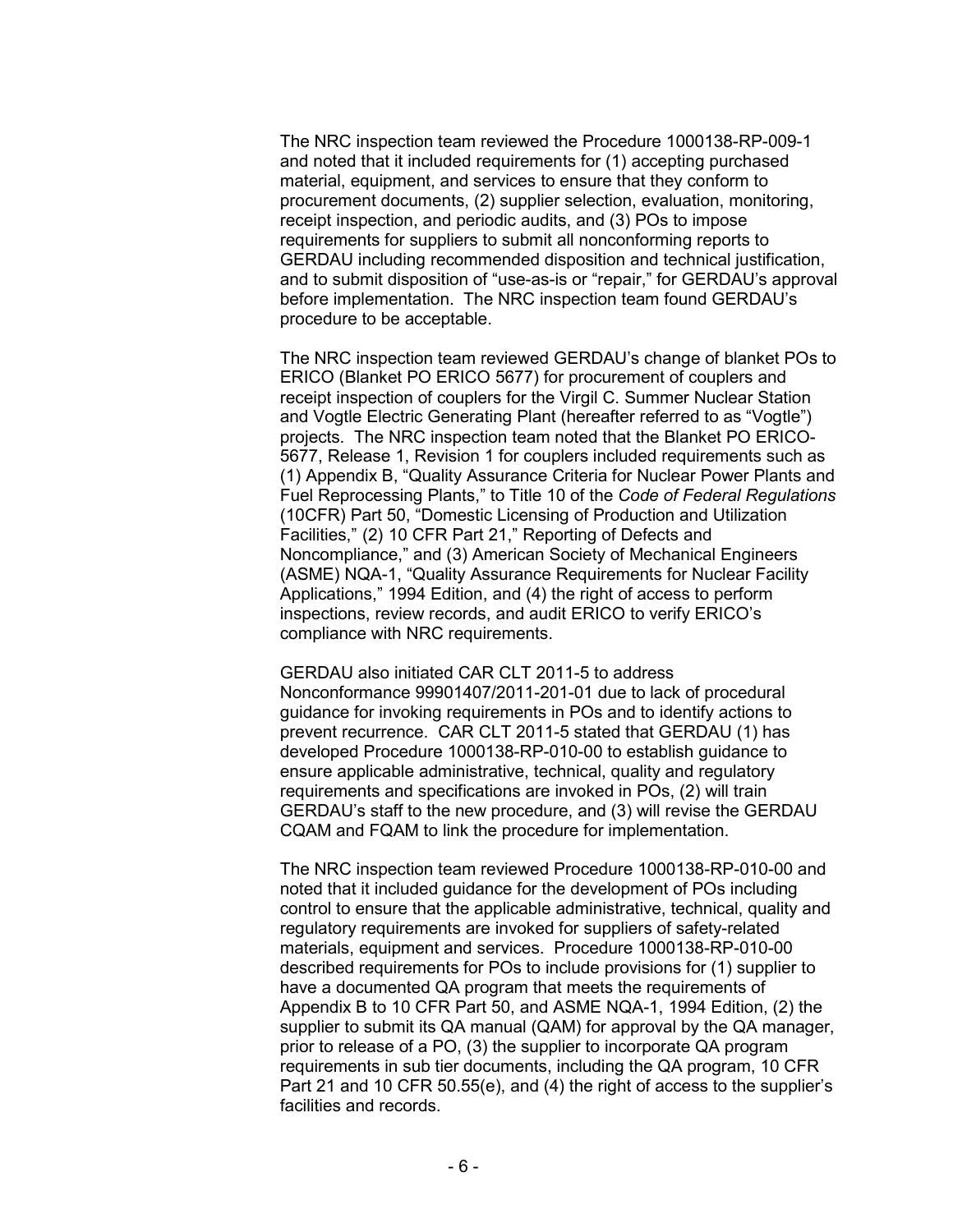The NRC inspection team reviewed the Procedure 1000138-RP-009-1 and noted that it included requirements for (1) accepting purchased material, equipment, and services to ensure that they conform to procurement documents, (2) supplier selection, evaluation, monitoring, receipt inspection, and periodic audits, and (3) POs to impose requirements for suppliers to submit all nonconforming reports to GERDAU including recommended disposition and technical justification, and to submit disposition of "use-as-is or "repair," for GERDAU's approval before implementation. The NRC inspection team found GERDAU's procedure to be acceptable.

The NRC inspection team reviewed GERDAU's change of blanket POs to ERICO (Blanket PO ERICO 5677) for procurement of couplers and receipt inspection of couplers for the Virgil C. Summer Nuclear Station and Vogtle Electric Generating Plant (hereafter referred to as "Vogtle") projects. The NRC inspection team noted that the Blanket PO ERICO-5677, Release 1, Revision 1 for couplers included requirements such as (1) Appendix B, "Quality Assurance Criteria for Nuclear Power Plants and Fuel Reprocessing Plants," to Title 10 of the *Code of Federal Regulations*  (10CFR) Part 50, "Domestic Licensing of Production and Utilization Facilities," (2) 10 CFR Part 21," Reporting of Defects and Noncompliance," and (3) American Society of Mechanical Engineers (ASME) NQA-1, "Quality Assurance Requirements for Nuclear Facility Applications," 1994 Edition, and (4) the right of access to perform inspections, review records, and audit ERICO to verify ERICO's compliance with NRC requirements.

GERDAU also initiated CAR CLT 2011-5 to address Nonconformance 99901407/2011-201-01 due to lack of procedural guidance for invoking requirements in POs and to identify actions to prevent recurrence. CAR CLT 2011-5 stated that GERDAU (1) has developed Procedure 1000138-RP-010-00 to establish guidance to ensure applicable administrative, technical, quality and regulatory requirements and specifications are invoked in POs, (2) will train GERDAU's staff to the new procedure, and (3) will revise the GERDAU CQAM and FQAM to link the procedure for implementation.

The NRC inspection team reviewed Procedure 1000138-RP-010-00 and noted that it included guidance for the development of POs including control to ensure that the applicable administrative, technical, quality and regulatory requirements are invoked for suppliers of safety-related materials, equipment and services. Procedure 1000138-RP-010-00 described requirements for POs to include provisions for (1) supplier to have a documented QA program that meets the requirements of Appendix B to 10 CFR Part 50, and ASME NQA-1, 1994 Edition, (2) the supplier to submit its QA manual (QAM) for approval by the QA manager, prior to release of a PO, (3) the supplier to incorporate QA program requirements in sub tier documents, including the QA program, 10 CFR Part 21 and 10 CFR 50.55(e), and (4) the right of access to the supplier's facilities and records.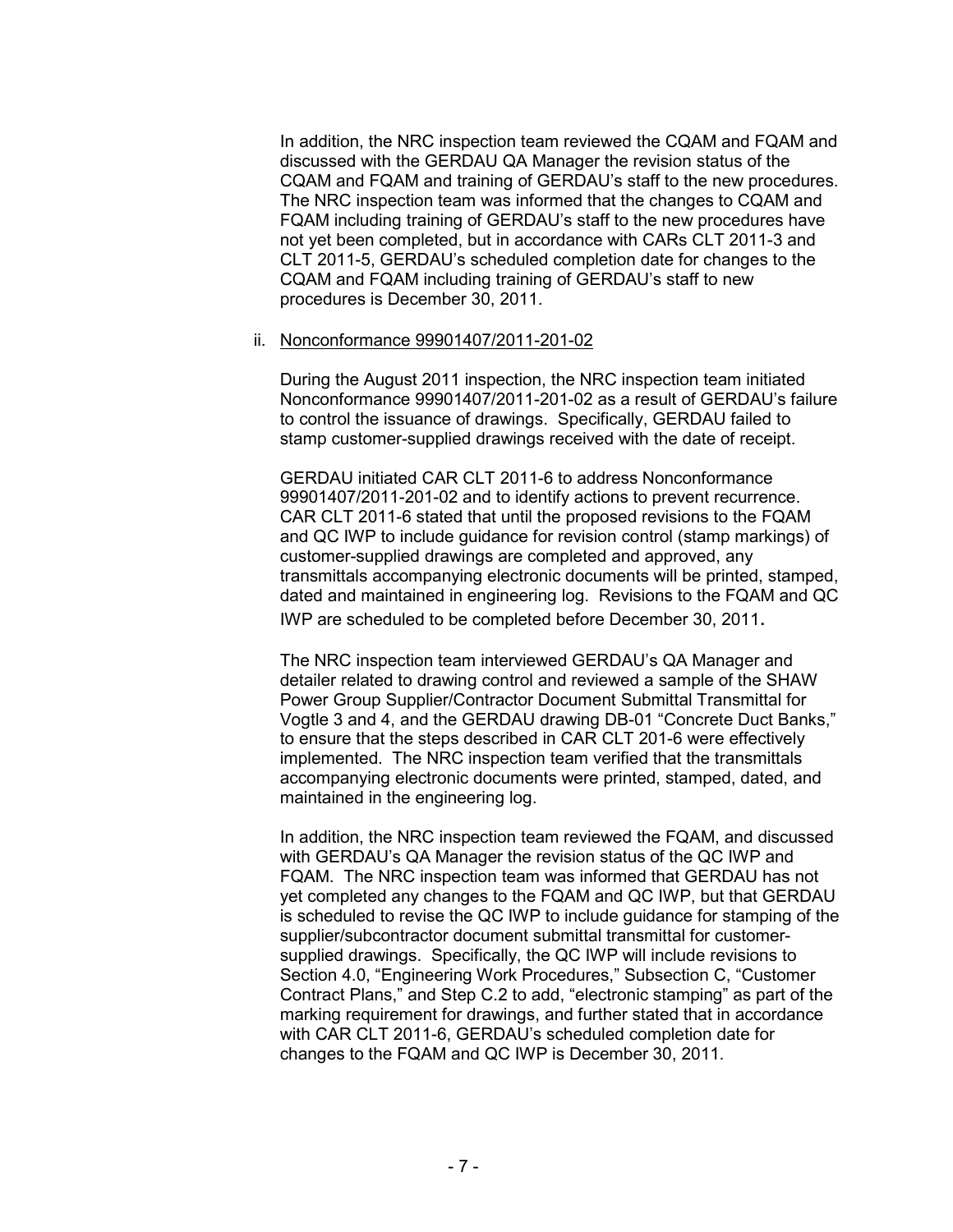In addition, the NRC inspection team reviewed the CQAM and FQAM and discussed with the GERDAU QA Manager the revision status of the CQAM and FQAM and training of GERDAU's staff to the new procedures. The NRC inspection team was informed that the changes to CQAM and FQAM including training of GERDAU's staff to the new procedures have not yet been completed, but in accordance with CARs CLT 2011-3 and CLT 2011-5, GERDAU's scheduled completion date for changes to the CQAM and FQAM including training of GERDAU's staff to new procedures is December 30, 2011.

#### ii. Nonconformance 99901407/2011-201-02

During the August 2011 inspection, the NRC inspection team initiated Nonconformance 99901407/2011-201-02 as a result of GERDAU's failure to control the issuance of drawings. Specifically, GERDAU failed to stamp customer-supplied drawings received with the date of receipt.

GERDAU initiated CAR CLT 2011-6 to address Nonconformance 99901407/2011-201-02 and to identify actions to prevent recurrence. CAR CLT 2011-6 stated that until the proposed revisions to the FQAM and QC IWP to include guidance for revision control (stamp markings) of customer-supplied drawings are completed and approved, any transmittals accompanying electronic documents will be printed, stamped, dated and maintained in engineering log. Revisions to the FQAM and QC IWP are scheduled to be completed before December 30, 2011.

The NRC inspection team interviewed GERDAU's QA Manager and detailer related to drawing control and reviewed a sample of the SHAW Power Group Supplier/Contractor Document Submittal Transmittal for Vogtle 3 and 4, and the GERDAU drawing DB-01 "Concrete Duct Banks," to ensure that the steps described in CAR CLT 201-6 were effectively implemented. The NRC inspection team verified that the transmittals accompanying electronic documents were printed, stamped, dated, and maintained in the engineering log.

In addition, the NRC inspection team reviewed the FQAM, and discussed with GERDAU's QA Manager the revision status of the QC IWP and FQAM. The NRC inspection team was informed that GERDAU has not yet completed any changes to the FQAM and QC IWP, but that GERDAU is scheduled to revise the QC IWP to include guidance for stamping of the supplier/subcontractor document submittal transmittal for customersupplied drawings. Specifically, the QC IWP will include revisions to Section 4.0, "Engineering Work Procedures," Subsection C, "Customer Contract Plans," and Step C.2 to add, "electronic stamping" as part of the marking requirement for drawings, and further stated that in accordance with CAR CLT 2011-6, GERDAU's scheduled completion date for changes to the FQAM and QC IWP is December 30, 2011.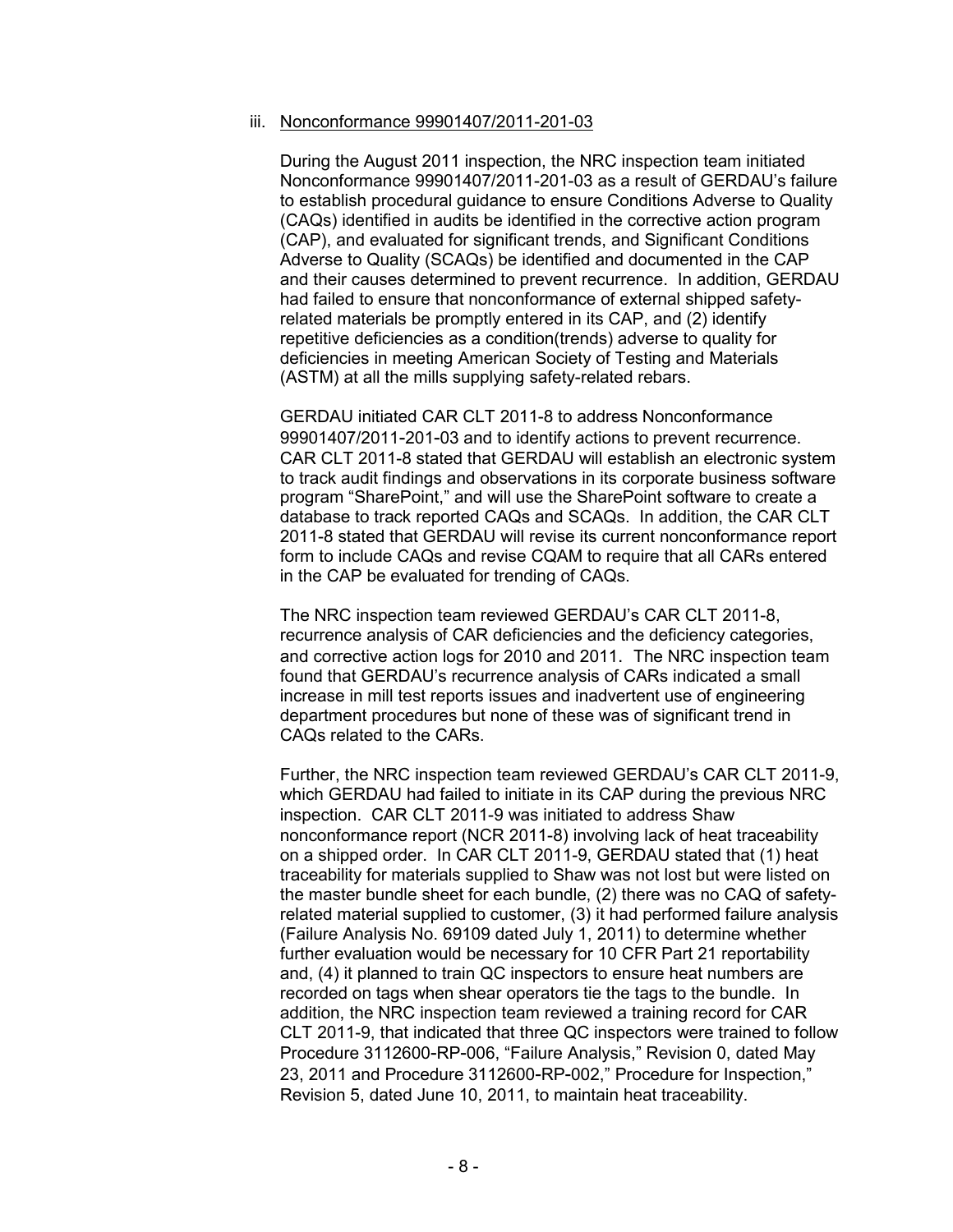#### iii. Nonconformance 99901407/2011-201-03

During the August 2011 inspection, the NRC inspection team initiated Nonconformance 99901407/2011-201-03 as a result of GERDAU's failure to establish procedural guidance to ensure Conditions Adverse to Quality (CAQs) identified in audits be identified in the corrective action program (CAP), and evaluated for significant trends, and Significant Conditions Adverse to Quality (SCAQs) be identified and documented in the CAP and their causes determined to prevent recurrence. In addition, GERDAU had failed to ensure that nonconformance of external shipped safetyrelated materials be promptly entered in its CAP, and (2) identify repetitive deficiencies as a condition(trends) adverse to quality for deficiencies in meeting American Society of Testing and Materials (ASTM) at all the mills supplying safety-related rebars.

GERDAU initiated CAR CLT 2011-8 to address Nonconformance 99901407/2011-201-03 and to identify actions to prevent recurrence. CAR CLT 2011-8 stated that GERDAU will establish an electronic system to track audit findings and observations in its corporate business software program "SharePoint," and will use the SharePoint software to create a database to track reported CAQs and SCAQs. In addition, the CAR CLT 2011-8 stated that GERDAU will revise its current nonconformance report form to include CAQs and revise CQAM to require that all CARs entered in the CAP be evaluated for trending of CAQs.

The NRC inspection team reviewed GERDAU's CAR CLT 2011-8, recurrence analysis of CAR deficiencies and the deficiency categories, and corrective action logs for 2010 and 2011. The NRC inspection team found that GERDAU's recurrence analysis of CARs indicated a small increase in mill test reports issues and inadvertent use of engineering department procedures but none of these was of significant trend in CAQs related to the CARs.

Further, the NRC inspection team reviewed GERDAU's CAR CLT 2011-9, which GERDAU had failed to initiate in its CAP during the previous NRC inspection. CAR CLT 2011-9 was initiated to address Shaw nonconformance report (NCR 2011-8) involving lack of heat traceability on a shipped order. In CAR CLT 2011-9, GERDAU stated that (1) heat traceability for materials supplied to Shaw was not lost but were listed on the master bundle sheet for each bundle, (2) there was no CAQ of safetyrelated material supplied to customer, (3) it had performed failure analysis (Failure Analysis No. 69109 dated July 1, 2011) to determine whether further evaluation would be necessary for 10 CFR Part 21 reportability and, (4) it planned to train QC inspectors to ensure heat numbers are recorded on tags when shear operators tie the tags to the bundle. In addition, the NRC inspection team reviewed a training record for CAR CLT 2011-9, that indicated that three QC inspectors were trained to follow Procedure 3112600-RP-006, "Failure Analysis," Revision 0, dated May 23, 2011 and Procedure 3112600-RP-002," Procedure for Inspection," Revision 5, dated June 10, 2011, to maintain heat traceability.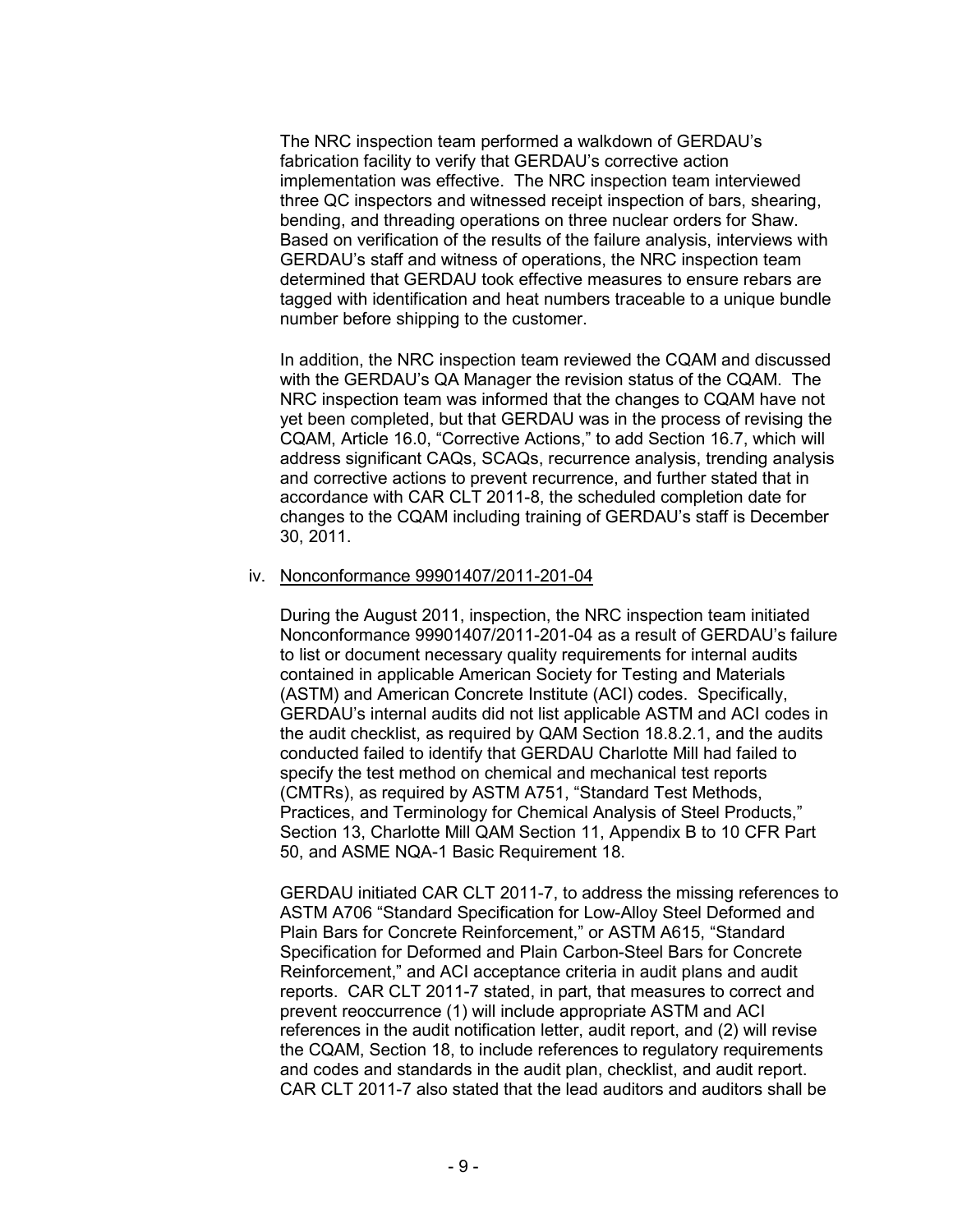The NRC inspection team performed a walkdown of GERDAU's fabrication facility to verify that GERDAU's corrective action implementation was effective. The NRC inspection team interviewed three QC inspectors and witnessed receipt inspection of bars, shearing, bending, and threading operations on three nuclear orders for Shaw. Based on verification of the results of the failure analysis, interviews with GERDAU's staff and witness of operations, the NRC inspection team determined that GERDAU took effective measures to ensure rebars are tagged with identification and heat numbers traceable to a unique bundle number before shipping to the customer.

In addition, the NRC inspection team reviewed the CQAM and discussed with the GERDAU's QA Manager the revision status of the CQAM. The NRC inspection team was informed that the changes to CQAM have not yet been completed, but that GERDAU was in the process of revising the CQAM, Article 16.0, "Corrective Actions," to add Section 16.7, which will address significant CAQs, SCAQs, recurrence analysis, trending analysis and corrective actions to prevent recurrence, and further stated that in accordance with CAR CLT 2011-8, the scheduled completion date for changes to the CQAM including training of GERDAU's staff is December 30, 2011.

#### iv. Nonconformance 99901407/2011-201-04

During the August 2011, inspection, the NRC inspection team initiated Nonconformance 99901407/2011-201-04 as a result of GERDAU's failure to list or document necessary quality requirements for internal audits contained in applicable American Society for Testing and Materials (ASTM) and American Concrete Institute (ACI) codes. Specifically, GERDAU's internal audits did not list applicable ASTM and ACI codes in the audit checklist, as required by QAM Section 18.8.2.1, and the audits conducted failed to identify that GERDAU Charlotte Mill had failed to specify the test method on chemical and mechanical test reports (CMTRs), as required by ASTM A751, "Standard Test Methods, Practices, and Terminology for Chemical Analysis of Steel Products," Section 13, Charlotte Mill QAM Section 11, Appendix B to 10 CFR Part 50, and ASME NQA-1 Basic Requirement 18.

GERDAU initiated CAR CLT 2011-7, to address the missing references to ASTM A706 "Standard Specification for Low-Alloy Steel Deformed and Plain Bars for Concrete Reinforcement," or ASTM A615, "Standard Specification for Deformed and Plain Carbon-Steel Bars for Concrete Reinforcement," and ACI acceptance criteria in audit plans and audit reports. CAR CLT 2011-7 stated, in part, that measures to correct and prevent reoccurrence (1) will include appropriate ASTM and ACI references in the audit notification letter, audit report, and (2) will revise the CQAM, Section 18, to include references to regulatory requirements and codes and standards in the audit plan, checklist, and audit report. CAR CLT 2011-7 also stated that the lead auditors and auditors shall be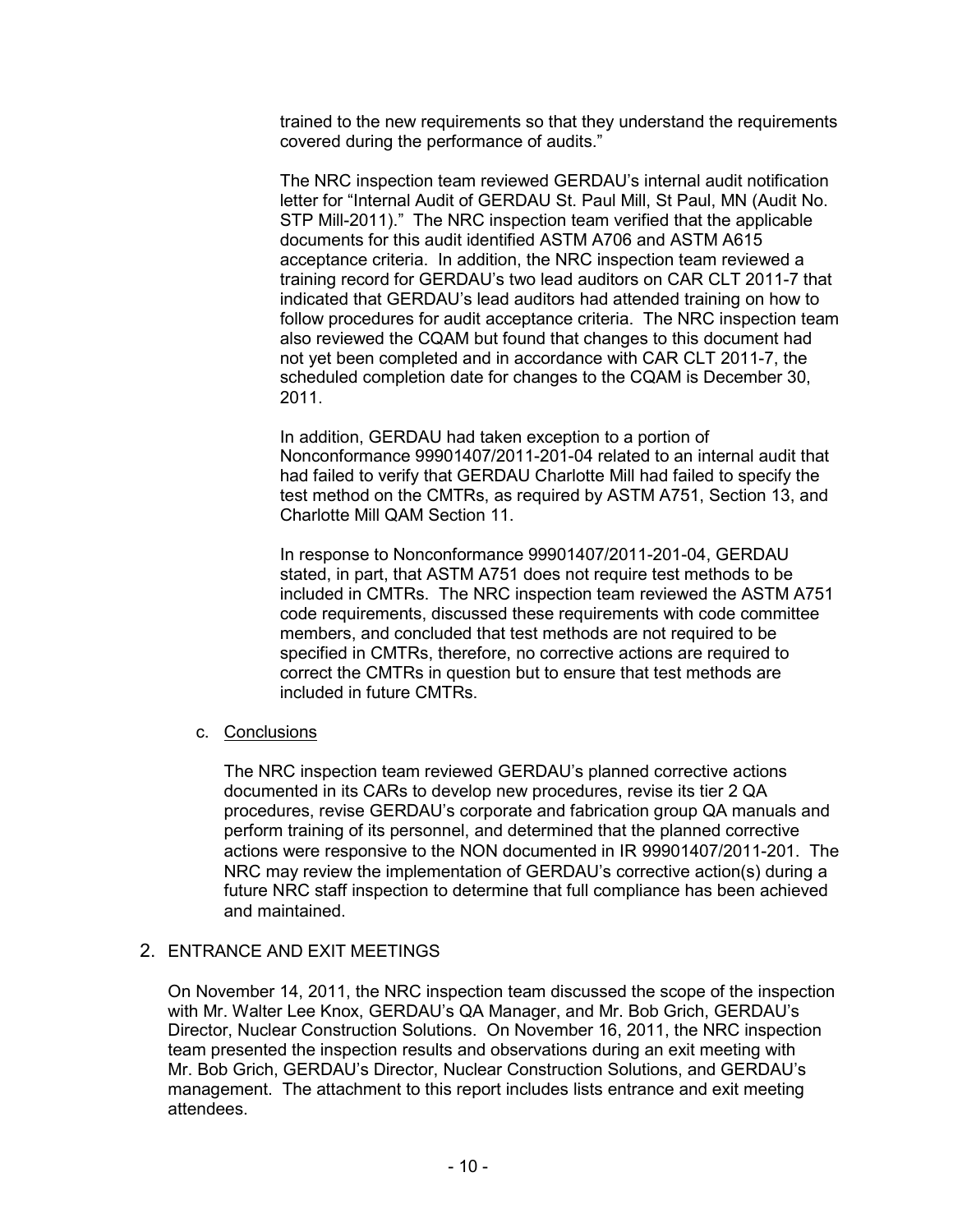trained to the new requirements so that they understand the requirements covered during the performance of audits."

The NRC inspection team reviewed GERDAU's internal audit notification letter for "Internal Audit of GERDAU St. Paul Mill, St Paul, MN (Audit No. STP Mill-2011)." The NRC inspection team verified that the applicable documents for this audit identified ASTM A706 and ASTM A615 acceptance criteria. In addition, the NRC inspection team reviewed a training record for GERDAU's two lead auditors on CAR CLT 2011-7 that indicated that GERDAU's lead auditors had attended training on how to follow procedures for audit acceptance criteria. The NRC inspection team also reviewed the CQAM but found that changes to this document had not yet been completed and in accordance with CAR CLT 2011-7, the scheduled completion date for changes to the CQAM is December 30, 2011.

In addition, GERDAU had taken exception to a portion of Nonconformance 99901407/2011-201-04 related to an internal audit that had failed to verify that GERDAU Charlotte Mill had failed to specify the test method on the CMTRs, as required by ASTM A751, Section 13, and Charlotte Mill QAM Section 11.

In response to Nonconformance 99901407/2011-201-04, GERDAU stated, in part, that ASTM A751 does not require test methods to be included in CMTRs. The NRC inspection team reviewed the ASTM A751 code requirements, discussed these requirements with code committee members, and concluded that test methods are not required to be specified in CMTRs, therefore, no corrective actions are required to correct the CMTRs in question but to ensure that test methods are included in future CMTRs.

## c. Conclusions

The NRC inspection team reviewed GERDAU's planned corrective actions documented in its CARs to develop new procedures, revise its tier 2 QA procedures, revise GERDAU's corporate and fabrication group QA manuals and perform training of its personnel, and determined that the planned corrective actions were responsive to the NON documented in IR 99901407/2011-201. The NRC may review the implementation of GERDAU's corrective action(s) during a future NRC staff inspection to determine that full compliance has been achieved and maintained.

## 2. ENTRANCE AND EXIT MEETINGS

On November 14, 2011, the NRC inspection team discussed the scope of the inspection with Mr. Walter Lee Knox, GERDAU's QA Manager, and Mr. Bob Grich, GERDAU's Director, Nuclear Construction Solutions. On November 16, 2011, the NRC inspection team presented the inspection results and observations during an exit meeting with Mr. Bob Grich, GERDAU's Director, Nuclear Construction Solutions, and GERDAU's management. The attachment to this report includes lists entrance and exit meeting attendees.